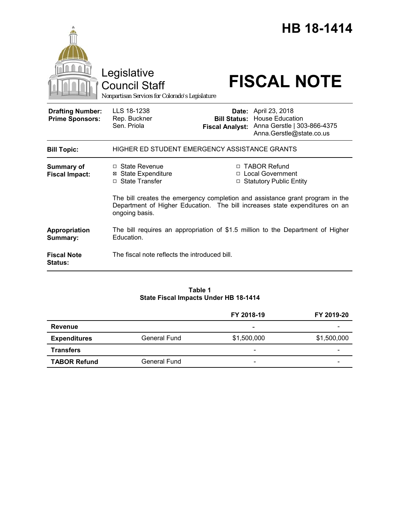|                                                   | Legislative<br><b>Council Staff</b><br>Nonpartisan Services for Colorado's Legislature        |  | <b>HB 18-1414</b><br><b>FISCAL NOTE</b>                                                                                                            |  |
|---------------------------------------------------|-----------------------------------------------------------------------------------------------|--|----------------------------------------------------------------------------------------------------------------------------------------------------|--|
| <b>Drafting Number:</b><br><b>Prime Sponsors:</b> | LLS 18-1238<br>Rep. Buckner<br>Sen. Priola                                                    |  | <b>Date:</b> April 23, 2018<br><b>Bill Status: House Education</b><br>Fiscal Analyst: Anna Gerstle   303-866-4375<br>Anna.Gerstle@state.co.us      |  |
| <b>Bill Topic:</b>                                | HIGHER ED STUDENT EMERGENCY ASSISTANCE GRANTS                                                 |  |                                                                                                                                                    |  |
| <b>Summary of</b><br><b>Fiscal Impact:</b>        | □ State Revenue<br><b>State Expenditure</b><br>⊠<br>□ State Transfer                          |  | □ TABOR Refund<br>□ Local Government<br>□ Statutory Public Entity<br>The bill creates the emergency completion and assistance grant program in the |  |
|                                                   | Department of Higher Education. The bill increases state expenditures on an<br>ongoing basis. |  |                                                                                                                                                    |  |
| Appropriation<br>Summary:                         | Education.                                                                                    |  | The bill requires an appropriation of \$1.5 million to the Department of Higher                                                                    |  |
| <b>Fiscal Note</b><br><b>Status:</b>              | The fiscal note reflects the introduced bill.                                                 |  |                                                                                                                                                    |  |

### **Table 1 State Fiscal Impacts Under HB 18-1414**

|                     |                     | FY 2018-19               | FY 2019-20  |
|---------------------|---------------------|--------------------------|-------------|
| <b>Revenue</b>      |                     | $\overline{\phantom{a}}$ |             |
| <b>Expenditures</b> | <b>General Fund</b> | \$1,500,000              | \$1,500,000 |
| <b>Transfers</b>    |                     | $\overline{\phantom{a}}$ | -           |
| <b>TABOR Refund</b> | General Fund        | -                        | -           |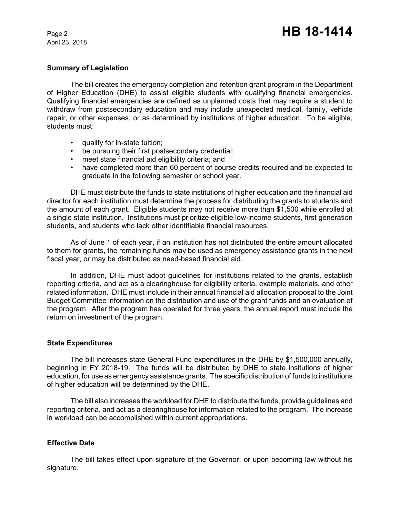April 23, 2018

#### **Summary of Legislation**

The bill creates the emergency completion and retention grant program in the Department of Higher Education (DHE) to assist eligible students with qualifying financial emergencies. Qualifying financial emergencies are defined as unplanned costs that may require a student to withdraw from postsecondary education and may include unexpected medical, family, vehicle repair, or other expenses, or as determined by institutions of higher education. To be eligible, students must:

- qualify for in-state tuition;
- be pursuing their first postsecondary credential;
- meet state financial aid eligibility criteria; and
- have completed more than 60 percent of course credits required and be expected to graduate in the following semester or school year.

DHE must distribute the funds to state institutions of higher education and the financial aid director for each institution must determine the process for distributing the grants to students and the amount of each grant. Eligible students may not receive more than \$1,500 while enrolled at a single state institution. Institutions must prioritize eligible low-income students, first generation students, and students who lack other identifiable financial resources.

As of June 1 of each year, if an institution has not distributed the entire amount allocated to them for grants, the remaining funds may be used as emergency assistance grants in the next fiscal year, or may be distributed as need-based financial aid.

In addition, DHE must adopt guidelines for institutions related to the grants, establish reporting criteria, and act as a clearinghouse for eligibility criteria, example materials, and other related information. DHE must include in their annual financial aid allocation proposal to the Joint Budget Committee information on the distribution and use of the grant funds and an evaluation of the program. After the program has operated for three years, the annual report must include the return on investment of the program.

#### **State Expenditures**

The bill increases state General Fund expenditures in the DHE by \$1,500,000 annually, beginning in FY 2018-19. The funds will be distributed by DHE to state insitutions of higher education, for use as emergency assistance grants. The specific distribution of funds to institutions of higher education will be determined by the DHE.

The bill also increases the workload for DHE to distribute the funds, provide guidelines and reporting criteria, and act as a clearinghouse for information related to the program. The increase in workload can be accomplished within current appropriations.

## **Effective Date**

The bill takes effect upon signature of the Governor, or upon becoming law without his signature.